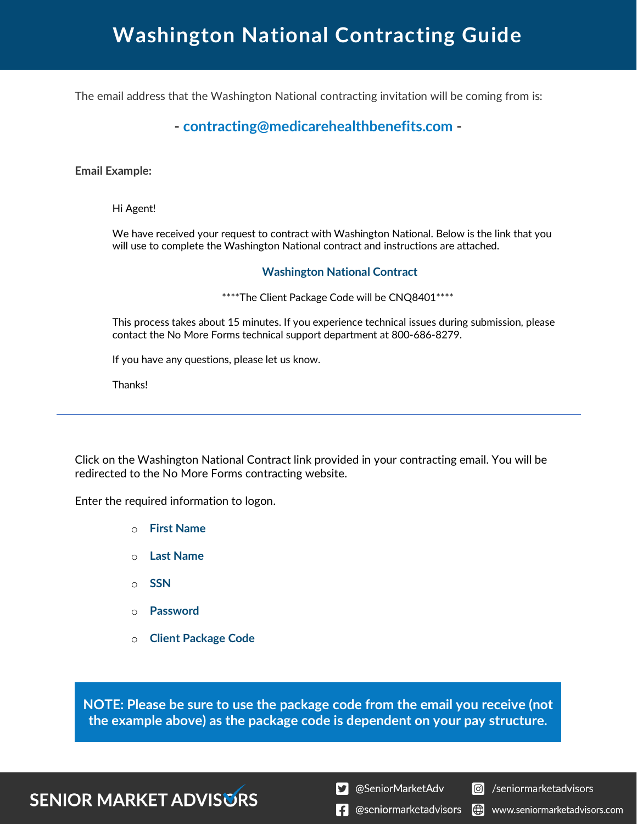## **Washington National Contracting Guide**

The email address that the Washington National contracting invitation will be coming from is:

#### **- contracting@medicarehealthbenefits.com -**

#### **Email Example:**

Hi Agent!

We have received your request to contract with Washington National. Below is the link that you will use to complete the Washington National contract and instructions are attached.

#### **Washington National Contract**

\*\*\*\*The Client Package Code will be CNQ8401\*\*\*\*

This process takes about 15 minutes. If you experience technical issues during submission, please contact the No More Forms technical support department at 800-686-8279.

If you have any questions, please let us know.

Thanks!

Click on the Washington National Contract link provided in your contracting email. You will be redirected to the No More Forms contracting website.

Enter the required information to logon.

- o **First Name**
- o **Last Name**
- o **SSN**
- o **Password**
- o **Client Package Code**

**NOTE: Please be sure to use the package code from the email you receive (not the example above) as the package code is dependent on your pay structure.**

#### **SENIOR MARKET ADVISURS**

S @SeniorMarketAdv

Seniormarketadvisors

 $\left| \cdot \right|$  @seniormarketadvisors (.) www.seniormarketadvisors.com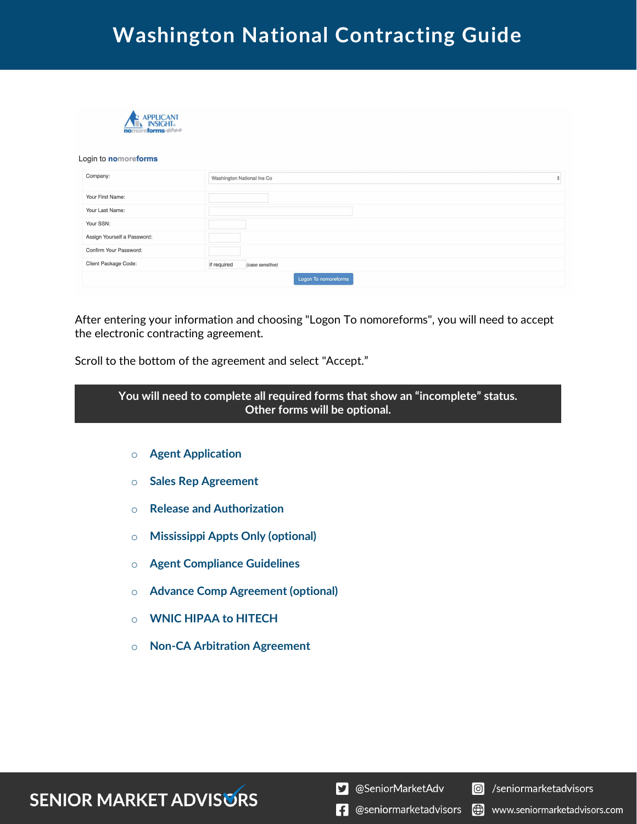### **Washington National Contracting Guide**



#### Login to nomoreforms

| Company:                    | Washington National Ins Co      |  |
|-----------------------------|---------------------------------|--|
| Your First Name:            |                                 |  |
| Your Last Name:             |                                 |  |
| Your SSN:                   |                                 |  |
| Assign Yourself a Password: |                                 |  |
| Confirm Your Password:      |                                 |  |
| Client Package Code:        | if required<br>(case sensitive) |  |
|                             | Logon To nomoreforms            |  |

After entering your information and choosing "Logon To nomoreforms", you will need to accept the electronic contracting agreement.

Scroll to the bottom of the agreement and select "Accept."

| You will need to complete all required forms that show an "incomplete" status.<br>Other forms will be optional. |  |  |  |  |
|-----------------------------------------------------------------------------------------------------------------|--|--|--|--|
| <b>Agent Application</b><br>$\Omega$                                                                            |  |  |  |  |

- o **Sales Rep Agreement**
- o **Release and Authorization**
- o **Mississippi Appts Only (optional)**
- o **Agent Compliance Guidelines**
- o **Advance Comp Agreement (optional)**
- o **WNIC HIPAA to HITECH**
- o **Non-CA Arbitration Agreement**

### **SENIOR MARKET ADVISURS**

S @SeniorMarketAdv

Seniormarketadvisors

 $\left| \cdot \right|$  @seniormarketadvisors www.seniormarketadvisors.com